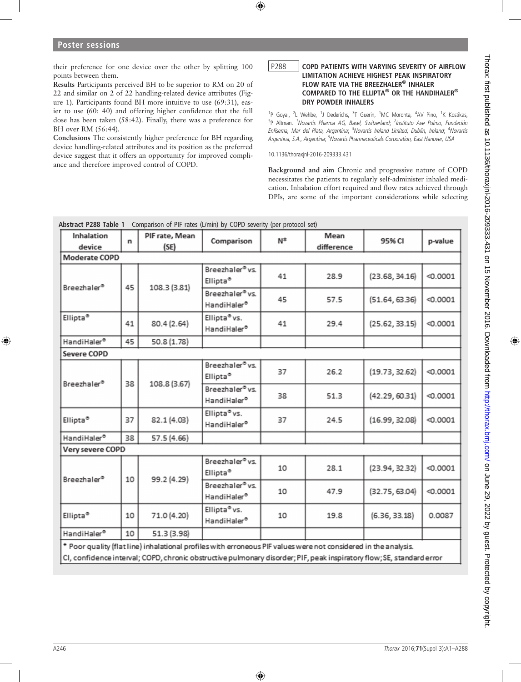their preference for one device over the other by splitting 100 points between them.

Results Participants perceived BH to be superior to RM on 20 of 22 and similar on 2 of 22 handling-related device attributes (Figure 1). Participants found BH more intuitive to use (69:31), easier to use (60: 40) and offering higher confidence that the full dose has been taken (58:42). Finally, there was a preference for BH over RM (56:44).

Conclusions The consistently higher preference for BH regarding device handling-related attributes and its position as the preferred device suggest that it offers an opportunity for improved compliance and therefore improved control of COPD.

## P288 | COPD PATIENTS WITH VARYING SEVERITY OF AIRFLOW LIMITATION ACHIEVE HIGHEST PEAK INSPIRATORY FLOW RATE VIA THE BREEZHALER® INHALER COMPARED TO THE ELLIPTA® OR THE HANDIHALER® DRY POWDER INHALERS

<sup>1</sup>P Goyal, <sup>2</sup>L Wehbe, <sup>1</sup>J Dederichs, <sup>3</sup>T Guerin, <sup>1</sup>MC Moronta, <sup>4</sup>AV Pino, <sup>1</sup>K Kostikas, <sup>5</sup>P Altman. <sup>1</sup>Novartis Pharma AG, Basel, Switzerland; <sup>2</sup>Instituto Ave Pulmo, Fundación Enfisema, Mar del Plata, Argentina; <sup>3</sup>Novartis Ireland Limited, Dublin, Ireland; <sup>4</sup>Novartis Argentina, S.A., Argentina; <sup>5</sup>Novartis Pharmaceuticals Corporation, East Hanover, USA

10.1136/thoraxjnl-2016-209333.431

Background and aim Chronic and progressive nature of COPD necessitates the patients to regularly self-administer inhaled medication. Inhalation effort required and flow rates achieved through DPIs, are some of the important considerations while selecting

| Inhalation<br>device    | n  | PIF rate, Mean<br>(SE) | Comparison                                          | $N^*$ | Mean<br>difference | 95% CI         | p-value  |
|-------------------------|----|------------------------|-----------------------------------------------------|-------|--------------------|----------------|----------|
| Moderate COPD           |    |                        |                                                     |       |                    |                |          |
| Breezhaler®             | 45 | 108.3 (3.81)           | Breezhaler <sup>®</sup> vs.<br>Ellipta <sup>®</sup> | 41    | 28.9               | (23.68, 34.16) | < 0.0001 |
|                         |    |                        | Breezhaler <sup>®</sup> vs.<br>HandiHaler®          | 45    | 57.5               | (51.64, 63.36) | < 0.0001 |
| Ellipta <sup>®</sup>    | 41 | 80.4 (2.64)            | Ellipta <sup>®</sup> vs.<br>HandiHaler®             | 41    | 29.4               | (25.62, 33.15) | < 0.0001 |
| HandiHaler®             | 45 | 50.8 (1.78)            |                                                     |       |                    |                |          |
| <b>Severe COPD</b>      |    |                        |                                                     |       |                    |                |          |
| Breezhaler <sup>®</sup> |    | 108.8 (3.67)           | Breezhaler <sup>®</sup> vs.<br>Ellipta <sup>®</sup> | 37    | 26.2               | (19.73, 32.62) | < 0.0001 |
|                         | 38 |                        | Breezhaler <sup>®</sup> vs.<br>HandiHaler®          | 38    | 51.3               | (42.29, 60.31) | < 0.0001 |
| Ellipta <sup>®</sup>    | 37 | 82.1 (4.03)            | Ellipta <sup>o</sup> vs.<br>HandiHaler®             | 37    | 24.5               | (16.99, 32.08) | < 0.0001 |
| HandiHaler®             | 38 | 57.5 (4.66)            |                                                     |       |                    |                |          |
| Very severe COPD        |    |                        |                                                     |       |                    |                |          |
| Breezhaler®             | 10 | 99.2 (4.29)            | Breezhaler <sup>®</sup> vs.<br>Ellipta <sup>®</sup> | 10    | 28.1               | (23.94, 32.32) | < 0.0001 |
|                         |    |                        | Breezhaler <sup>®</sup> vs.<br>HandiHaler®          | 10    | 47.9               | (32.75, 63.04) | < 0.0001 |
| Ellipta <sup>®</sup>    | 10 | 71.0 (4.20)            | Ellipta <sup>o</sup> vs.<br>HandiHaler®             | 10    | 19.8               | (6.36, 33.18)  | 0.0087   |
| HandiHaler®             | 10 | 51.3 (3.98)            |                                                     |       |                    |                |          |